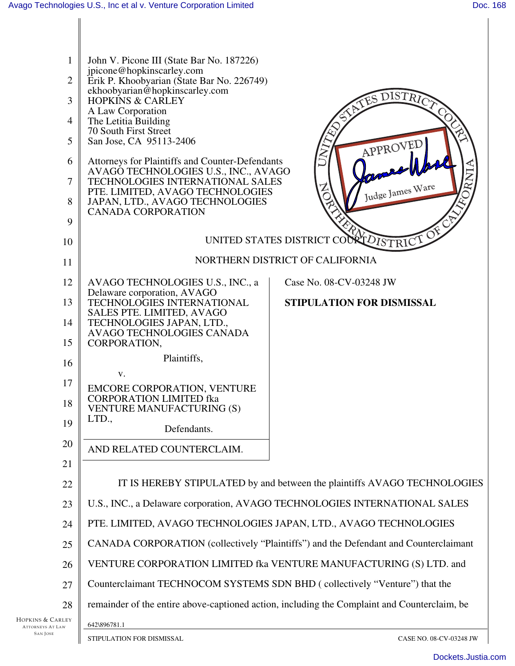| 1                | John V. Picone III (State Bar No. 187226)                                                           |  |
|------------------|-----------------------------------------------------------------------------------------------------|--|
| $\overline{2}$   | jpicone@hopkinscarley.com<br>Erik P. Khoobyarian (State Bar No. 226749)                             |  |
| 3                | ekhoobyarian@hopkinscarley.com<br>DISTRIC<br>TES<br><b>HOPKINS &amp; CARLEY</b>                     |  |
| $\overline{4}$   | A Law Corporation<br>The Letitia Building                                                           |  |
| 5                | 70 South First Street<br>San Jose, CA 95113-2406<br>APPROVED                                        |  |
| 6                | Attorneys for Plaintiffs and Counter-Defendants                                                     |  |
| 7                | AVAGO TECHNOLOGIES U.S., INC., AVAGO<br><b>TECHNOLOGIES INTERNATIONAL SALES</b><br>Judge James Ware |  |
| 8                | PTE. LIMITED, AVAGO TECHNOLOGIES<br>JAPAN, LTD., AVAGO TECHNOLOGIES<br><b>CANADA CORPORATION</b>    |  |
| 9                |                                                                                                     |  |
| 10               | UNITED STATES DISTRICT COORT DISTRICT OF                                                            |  |
| 11               | NORTHERN DISTRICT OF CALIFORNIA                                                                     |  |
| 12               | Case No. 08-CV-03248 JW<br>AVAGO TECHNOLOGIES U.S., INC., a<br>Delaware corporation, AVAGO          |  |
| 13               | STIPULATION FOR DISMISSAL<br>TECHNOLOGIES INTERNATIONAL<br>SALES PTE. LIMITED, AVAGO                |  |
| 14               | TECHNOLOGIES JAPAN, LTD.,<br>AVAGO TECHNOLOGIES CANADA                                              |  |
| 15               | CORPORATION,                                                                                        |  |
| 16               | Plaintiffs,<br>V.                                                                                   |  |
| 17               | EMCORE CORPORATION, VENTURE                                                                         |  |
| 18               | <b>CORPORATION LIMITED fka</b><br><b>VENTURE MANUFACTURING (S)</b>                                  |  |
| 19               | LTD.,<br>Defendants.                                                                                |  |
| 20               | AND RELATED COUNTERCLAIM.                                                                           |  |
| 21               |                                                                                                     |  |
| 22               | IT IS HEREBY STIPULATED by and between the plaintiffs AVAGO TECHNOLOGIES                            |  |
| 23               | U.S., INC., a Delaware corporation, AVAGO TECHNOLOGIES INTERNATIONAL SALES                          |  |
| 24               | PTE. LIMITED, AVAGO TECHNOLOGIES JAPAN, LTD., AVAGO TECHNOLOGIES                                    |  |
| 25               | CANADA CORPORATION (collectively "Plaintiffs") and the Defendant and Counterclaimant                |  |
| 26               | VENTURE CORPORATION LIMITED fka VENTURE MANUFACTURING (S) LTD. and                                  |  |
| 27               | Counterclaimant TECHNOCOM SYSTEMS SDN BHD (collectively "Venture") that the                         |  |
| 28               | remainder of the entire above-captioned action, including the Complaint and Counterclaim, be        |  |
| Hopkins & Carley | 642\896781.1                                                                                        |  |

ATTORNEYS AT LAW SAN JOSE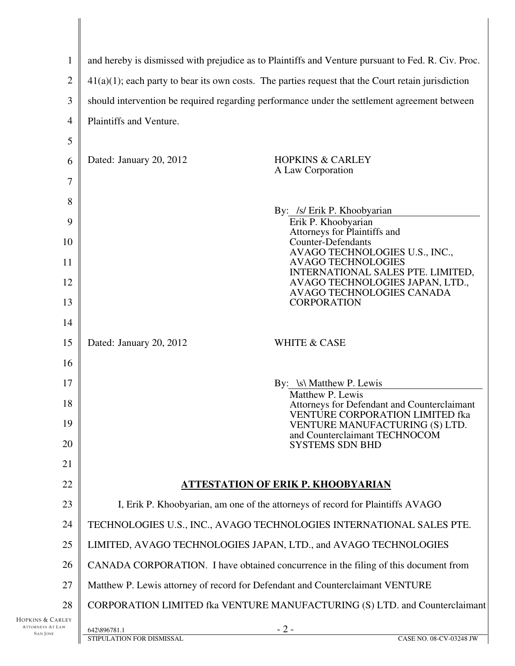| and hereby is dismissed with prejudice as to Plaintiffs and Venture pursuant to Fed. R. Civ. Proc.    |                                                                                                   |  |
|-------------------------------------------------------------------------------------------------------|---------------------------------------------------------------------------------------------------|--|
| $41(a)(1)$ ; each party to bear its own costs. The parties request that the Court retain jurisdiction |                                                                                                   |  |
| should intervention be required regarding performance under the settlement agreement between          |                                                                                                   |  |
| Plaintiffs and Venture.                                                                               |                                                                                                   |  |
|                                                                                                       |                                                                                                   |  |
| Dated: January 20, 2012                                                                               | <b>HOPKINS &amp; CARLEY</b>                                                                       |  |
|                                                                                                       | A Law Corporation                                                                                 |  |
|                                                                                                       |                                                                                                   |  |
|                                                                                                       | By: /s/ Erik P. Khoobyarian<br>Erik P. Khoobyarian                                                |  |
|                                                                                                       | Attorneys for Plaintiffs and<br><b>Counter-Defendants</b>                                         |  |
|                                                                                                       | AVAGO TECHNOLOGIES U.S., INC.,<br><b>AVAGO TECHNOLOGIES</b>                                       |  |
|                                                                                                       | INTERNATIONAL SALES PTE. LIMITED,<br>AVAGO TECHNOLOGIES JAPAN, LTD.,<br>AVAGO TECHNOLOGIES CANADA |  |
|                                                                                                       | <b>CORPORATION</b>                                                                                |  |
|                                                                                                       |                                                                                                   |  |
| Dated: January 20, 2012                                                                               | <b>WHITE &amp; CASE</b>                                                                           |  |
|                                                                                                       |                                                                                                   |  |
|                                                                                                       | By: \s\ Matthew P. Lewis<br>Matthew P. Lewis                                                      |  |
|                                                                                                       | Attorneys for Defendant and Counterclaimant<br>VENTURE CORPORATION LIMITED fka                    |  |
|                                                                                                       | VENTURE MANUFACTURING (S) LTD.<br>and Counterclaimant TECHNOCOM                                   |  |
|                                                                                                       | <b>SYSTEMS SDN BHD</b>                                                                            |  |
|                                                                                                       |                                                                                                   |  |
| <b>ATTESTATION OF ERIK P. KHOOBYARIAN</b>                                                             |                                                                                                   |  |
| I, Erik P. Khoobyarian, am one of the attorneys of record for Plaintiffs AVAGO                        |                                                                                                   |  |
| TECHNOLOGIES U.S., INC., AVAGO TECHNOLOGIES INTERNATIONAL SALES PTE.                                  |                                                                                                   |  |
| LIMITED, AVAGO TECHNOLOGIES JAPAN, LTD., and AVAGO TECHNOLOGIES                                       |                                                                                                   |  |
| CANADA CORPORATION. I have obtained concurrence in the filing of this document from                   |                                                                                                   |  |
| Matthew P. Lewis attorney of record for Defendant and Counterclaimant VENTURE                         |                                                                                                   |  |
|                                                                                                       | CORPORATION LIMITED fka VENTURE MANUFACTURING (S) LTD. and Counterclaimant                        |  |
| 642\896781.1                                                                                          | $-2-$<br>CASE NO. 08-CV-03248 JW                                                                  |  |
|                                                                                                       | STIPULATION FOR DISMISSAL                                                                         |  |